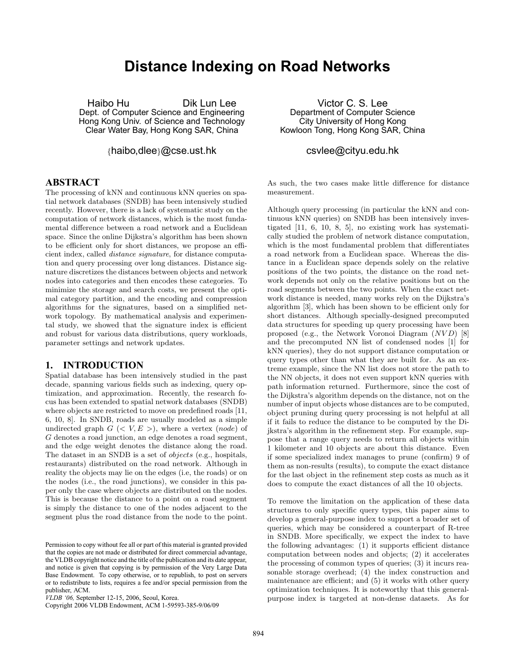# **Distance Indexing on Road Networks**

Haibo Hu Dik Lun Lee Dept. of Computer Science and Engineering Hong Kong Univ. of Science and Technology Clear Water Bay, Hong Kong SAR, China

{haibo,dlee}@cse.ust.hk

### **ABSTRACT**

The processing of kNN and continuous kNN queries on spatial network databases (SNDB) has been intensively studied recently. However, there is a lack of systematic study on the computation of network distances, which is the most fundamental difference between a road network and a Euclidean space. Since the online Dijkstra's algorithm has been shown to be efficient only for short distances, we propose an efficient index, called distance signature, for distance computation and query processing over long distances. Distance signature discretizes the distances between objects and network nodes into categories and then encodes these categories. To minimize the storage and search costs, we present the optimal category partition, and the encoding and compression algorithms for the signatures, based on a simplified network topology. By mathematical analysis and experimental study, we showed that the signature index is efficient and robust for various data distributions, query workloads, parameter settings and network updates.

### **1. INTRODUCTION**

Spatial database has been intensively studied in the past decade, spanning various fields such as indexing, query optimization, and approximation. Recently, the research focus has been extended to spatial network databases (SNDB) where objects are restricted to move on predefined roads [11, 6, 10, 8]. In SNDB, roads are usually modeled as a simple undirected graph  $G \leq V, E >$ , where a vertex (node) of G denotes a road junction, an edge denotes a road segment, and the edge weight denotes the distance along the road. The dataset in an SNDB is a set of objects (e.g., hospitals, restaurants) distributed on the road network. Although in reality the objects may lie on the edges (i.e, the roads) or on the nodes (i.e., the road junctions), we consider in this paper only the case where objects are distributed on the nodes. This is because the distance to a point on a road segment is simply the distance to one of the nodes adjacent to the segment plus the road distance from the node to the point.

Victor C. S. Lee Department of Computer Science City University of Hong Kong Kowloon Tong, Hong Kong SAR, China

### csvlee@cityu.edu.hk

As such, the two cases make little difference for distance measurement.

Although query processing (in particular the kNN and continuous kNN queries) on SNDB has been intensively investigated [11, 6, 10, 8, 5], no existing work has systematically studied the problem of network distance computation, which is the most fundamental problem that differentiates a road network from a Euclidean space. Whereas the distance in a Euclidean space depends solely on the relative positions of the two points, the distance on the road network depends not only on the relative positions but on the road segments between the two points. When the exact network distance is needed, many works rely on the Dijkstra's algorithm [3], which has been shown to be efficient only for short distances. Although specially-designed precomputed data structures for speeding up query processing have been proposed (e.g., the Network Voronoi Diagram (NVD) [8] and the precomputed NN list of condensed nodes [1] for kNN queries), they do not support distance computation or query types other than what they are built for. As an extreme example, since the NN list does not store the path to the NN objects, it does not even support kNN queries with path information returned. Furthermore, since the cost of the Dijkstra's algorithm depends on the distance, not on the number of input objects whose distances are to be computed, object pruning during query processing is not helpful at all if it fails to reduce the distance to be computed by the Dijkstra's algorithm in the refinement step. For example, suppose that a range query needs to return all objects within 1 kilometer and 10 objects are about this distance. Even if some specialized index manages to prune (confirm) 9 of them as non-results (results), to compute the exact distance for the last object in the refinement step costs as much as it does to compute the exact distances of all the 10 objects.

To remove the limitation on the application of these data structures to only specific query types, this paper aims to develop a general-purpose index to support a broader set of queries, which may be considered a counterpart of R-tree in SNDB. More specifically, we expect the index to have the following advantages: (1) it supports efficient distance computation between nodes and objects; (2) it accelerates the processing of common types of queries; (3) it incurs reasonable storage overhead; (4) the index construction and maintenance are efficient; and (5) it works with other query optimization techniques. It is noteworthy that this generalpurpose index is targeted at non-dense datasets. As for

Permission to copy without fee all or part of this material is granted provided that the copies are not made or distributed for direct commercial advantage, the VLDB copyright notice and the title of the publication and its date appear, and notice is given that copying is by permission of the Very Large Data Base Endowment. To copy otherwise, or to republish, to post on servers or to redistribute to lists, requires a fee and/or special permission from the publisher, ACM.

*VLDB '06,* September 12-15, 2006, Seoul, Korea.

Copyright 2006 VLDB Endowment, ACM 1-59593-385-9/06/09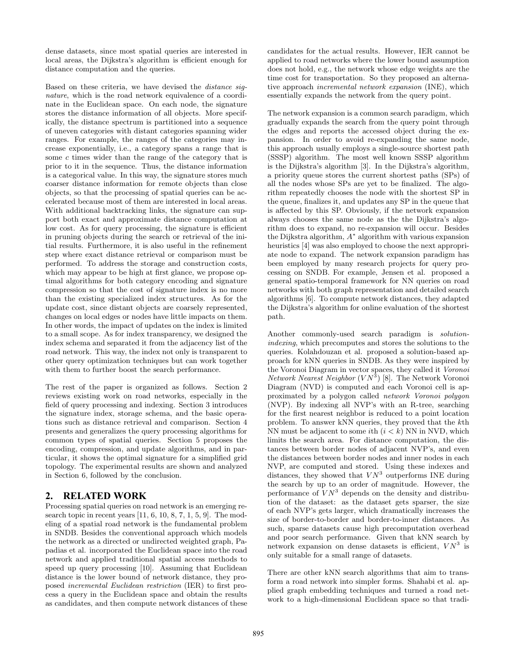dense datasets, since most spatial queries are interested in local areas, the Dijkstra's algorithm is efficient enough for distance computation and the queries.

Based on these criteria, we have devised the distance signature, which is the road network equivalence of a coordinate in the Euclidean space. On each node, the signature stores the distance information of all objects. More specifically, the distance spectrum is partitioned into a sequence of uneven categories with distant categories spanning wider ranges. For example, the ranges of the categories may increase exponentially, i.e., a category spans a range that is some c times wider than the range of the category that is prior to it in the sequence. Thus, the distance information is a categorical value. In this way, the signature stores much coarser distance information for remote objects than close objects, so that the processing of spatial queries can be accelerated because most of them are interested in local areas. With additional backtracking links, the signature can support both exact and approximate distance computation at low cost. As for query processing, the signature is efficient in pruning objects during the search or retrieval of the initial results. Furthermore, it is also useful in the refinement step where exact distance retrieval or comparison must be performed. To address the storage and construction costs, which may appear to be high at first glance, we propose optimal algorithms for both category encoding and signature compression so that the cost of signature index is no more than the existing specialized index structures. As for the update cost, since distant objects are coarsely represented, changes on local edges or nodes have little impacts on them. In other words, the impact of updates on the index is limited to a small scope. As for index transparency, we designed the index schema and separated it from the adjacency list of the road network. This way, the index not only is transparent to other query optimization techniques but can work together with them to further boost the search performance.

The rest of the paper is organized as follows. Section 2 reviews existing work on road networks, especially in the field of query processing and indexing. Section 3 introduces the signature index, storage schema, and the basic operations such as distance retrieval and comparison. Section 4 presents and generalizes the query processing algorithms for common types of spatial queries. Section 5 proposes the encoding, compression, and update algorithms, and in particular, it shows the optimal signature for a simplified grid topology. The experimental results are shown and analyzed in Section 6, followed by the conclusion.

# **2. RELATED WORK**

Processing spatial queries on road network is an emerging research topic in recent years  $[11, 6, 10, 8, 7, 1, 5, 9]$ . The modeling of a spatial road network is the fundamental problem in SNDB. Besides the conventional approach which models the network as a directed or undirected weighted graph, Papadias et al. incorporated the Euclidean space into the road network and applied traditional spatial access methods to speed up query processing [10]. Assuming that Euclidean distance is the lower bound of network distance, they proposed incremental Euclidean restriction (IER) to first process a query in the Euclidean space and obtain the results as candidates, and then compute network distances of these

candidates for the actual results. However, IER cannot be applied to road networks where the lower bound assumption does not hold, e.g., the network whose edge weights are the time cost for transportation. So they proposed an alternative approach incremental network expansion (INE), which essentially expands the network from the query point.

The network expansion is a common search paradigm, which gradually expands the search from the query point through the edges and reports the accessed object during the expansion. In order to avoid re-expanding the same node, this approach usually employs a single-source shortest path (SSSP) algorithm. The most well known SSSP algorithm is the Dijkstra's algorithm [3]. In the Dijkstra's algorithm, a priority queue stores the current shortest paths (SPs) of all the nodes whose SPs are yet to be finalized. The algorithm repeatedly chooses the node with the shortest SP in the queue, finalizes it, and updates any SP in the queue that is affected by this SP. Obviously, if the network expansion always chooses the same node as the the Dijkstra's algorithm does to expand, no re-expansion will occur. Besides the Dijkstra algorithm, A ∗ algorithm with various expansion heuristics [4] was also employed to choose the next appropriate node to expand. The network expansion paradigm has been employed by many research projects for query processing on SNDB. For example, Jensen et al. proposed a general spatio-temporal framework for NN queries on road networks with both graph representation and detailed search algorithms [6]. To compute network distances, they adapted the Dijkstra's algorithm for online evaluation of the shortest path.

Another commonly-used search paradigm is solutionindexing, which precomputes and stores the solutions to the queries. Kolahdouzan et al. proposed a solution-based approach for kNN queries in SNDB. As they were inspired by the Voronoi Diagram in vector spaces, they called it Voronoi *Network Nearest Neighbor*  $(VN^{\bar{3}})$  [8]. The Network Voronoi Diagram (NVD) is computed and each Voronoi cell is approximated by a polygon called network Voronoi polygon (NVP). By indexing all NVP's with an R-tree, searching for the first nearest neighbor is reduced to a point location problem. To answer kNN queries, they proved that the kth NN must be adjacent to some *i*th  $(i < k)$  NN in NVD, which limits the search area. For distance computation, the distances between border nodes of adjacent NVP's, and even the distances between border nodes and inner nodes in each NVP, are computed and stored. Using these indexes and distances, they showed that  $VN^3$  outperforms INE during the search by up to an order of magnitude. However, the performance of  $VN^3$  depends on the density and distribution of the dataset: as the dataset gets sparser, the size of each NVP's gets larger, which dramatically increases the size of border-to-border and border-to-inner distances. As such, sparse datasets cause high precomputation overhead and poor search performance. Given that kNN search by network expansion on dense datasets is efficient,  $VN^3$  is only suitable for a small range of datasets.

There are other kNN search algorithms that aim to transform a road network into simpler forms. Shahabi et al. applied graph embedding techniques and turned a road network to a high-dimensional Euclidean space so that tradi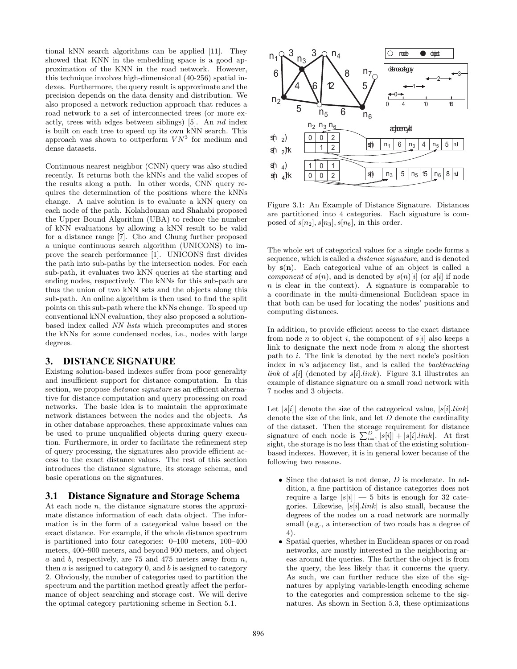tional kNN search algorithms can be applied [11]. They showed that KNN in the embedding space is a good approximation of the KNN in the road network. However, this technique involves high-dimensional (40-256) spatial indexes. Furthermore, the query result is approximate and the precision depends on the data density and distribution. We also proposed a network reduction approach that reduces a road network to a set of interconnected trees (or more exactly, trees with edges between siblings) [5]. An nd index is built on each tree to speed up its own kNN search. This approach was shown to outperform  $VN^3$  for medium and dense datasets.

Continuous nearest neighbor (CNN) query was also studied recently. It returns both the kNNs and the valid scopes of the results along a path. In other words, CNN query requires the determination of the positions where the kNNs change. A naive solution is to evaluate a kNN query on each node of the path. Kolahdouzan and Shahabi proposed the Upper Bound Algorithm (UBA) to reduce the number of kNN evaluations by allowing a kNN result to be valid for a distance range [7]. Cho and Chung further proposed a unique continuous search algorithm (UNICONS) to improve the search performance [1]. UNICONS first divides the path into sub-paths by the intersection nodes. For each sub-path, it evaluates two kNN queries at the starting and ending nodes, respectively. The kNNs for this sub-path are thus the union of two kNN sets and the objects along this sub-path. An online algorithm is then used to find the split points on this sub-path where the kNNs change. To speed up conventional kNN evaluation, they also proposed a solutionbased index called NN lists which precomputes and stores the kNNs for some condensed nodes, i.e., nodes with large degrees.

# **3. DISTANCE SIGNATURE**

Existing solution-based indexes suffer from poor generality and insufficient support for distance computation. In this section, we propose *distance signature* as an efficient alternative for distance computation and query processing on road networks. The basic idea is to maintain the approximate network distances between the nodes and the objects. As in other database approaches, these approximate values can be used to prune unqualified objects during query execution. Furthermore, in order to facilitate the refinement step of query processing, the signatures also provide efficient access to the exact distance values. The rest of this section introduces the distance signature, its storage schema, and basic operations on the signatures.

### **3.1 Distance Signature and Storage Schema**

At each node n, the distance signature stores the approximate distance information of each data object. The information is in the form of a categorical value based on the exact distance. For example, if the whole distance spectrum is partitioned into four categories: 0–100 meters, 100–400 meters, 400–900 meters, and beyond 900 meters, and object a and b, respectively, are  $75$  and  $475$  meters away from  $n$ , then  $a$  is assigned to category  $0$ , and  $b$  is assigned to category 2. Obviously, the number of categories used to partition the spectrum and the partition method greatly affect the performance of object searching and storage cost. We will derive the optimal category partitioning scheme in Section 5.1.



Figure 3.1: An Example of Distance Signature. Distances are partitioned into 4 categories. Each signature is composed of  $s[n_2], s[n_3], s[n_6]$ , in this order.

The whole set of categorical values for a single node forms a sequence, which is called a distance signature, and is denoted by  $s(n)$ . Each categorical value of an object is called a *component* of  $s(n)$ , and is denoted by  $s(n)[i]$  (or  $s[i]$  if node n is clear in the context). A signature is comparable to a coordinate in the multi-dimensional Euclidean space in that both can be used for locating the nodes' positions and computing distances.

In addition, to provide efficient access to the exact distance from node *n* to object *i*, the component of  $s[i]$  also keeps a link to designate the next node from  $n$  along the shortest path to i. The link is denoted by the next node's position index in  $n$ 's adjacency list, and is called the *backtracking* link of s[i] (denoted by s[i].link). Figure 3.1 illustrates an example of distance signature on a small road network with 7 nodes and 3 objects.

Let  $|s[i]|$  denote the size of the categorical value,  $|s[i].link|$ denote the size of the link, and let  $D$  denote the cardinality of the dataset. Then the storage requirement for distance signature of each node is  $\sum_{i=1}^{D} |s[i]| + |s[i].link|$ . At first sight, the storage is no less than that of the existing solutionbased indexes. However, it is in general lower because of the following two reasons.

- Since the dataset is not dense,  $D$  is moderate. In addition, a fine partition of distance categories does not require a large  $|s[i]| - 5$  bits is enough for 32 categories. Likewise,  $|s[i].link|$  is also small, because the degrees of the nodes on a road network are normally small (e.g., a intersection of two roads has a degree of 4).
- Spatial queries, whether in Euclidean spaces or on road networks, are mostly interested in the neighboring areas around the queries. The farther the object is from the query, the less likely that it concerns the query. As such, we can further reduce the size of the signatures by applying variable-length encoding scheme to the categories and compression scheme to the signatures. As shown in Section 5.3, these optimizations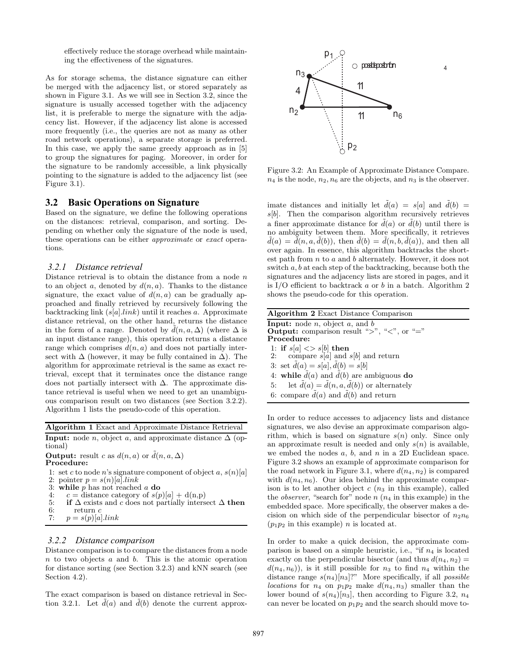effectively reduce the storage overhead while maintaining the effectiveness of the signatures.

As for storage schema, the distance signature can either be merged with the adjacency list, or stored separately as shown in Figure 3.1. As we will see in Section 3.2, since the signature is usually accessed together with the adjacency list, it is preferable to merge the signature with the adjacency list. However, if the adjacency list alone is accessed more frequently (i.e., the queries are not as many as other road network operations), a separate storage is preferred. In this case, we apply the same greedy approach as in [5] to group the signatures for paging. Moreover, in order for the signature to be randomly accessible, a link physically pointing to the signature is added to the adjacency list (see Figure 3.1).

### **3.2 Basic Operations on Signature**

Based on the signature, we define the following operations on the distances: retrieval, comparison, and sorting. Depending on whether only the signature of the node is used, these operations can be either approximate or exact operations.

#### *3.2.1 Distance retrieval*

Distance retrieval is to obtain the distance from a node  $n$ to an object a, denoted by  $d(n, a)$ . Thanks to the distance signature, the exact value of  $d(n, a)$  can be gradually approached and finally retrieved by recursively following the backtracking link  $(s[a].link)$  until it reaches a. Approximate distance retrieval, on the other hand, returns the distance in the form of a range. Denoted by  $\tilde{d}(n, a, \Delta)$  (where  $\Delta$  is an input distance range), this operation returns a distance range which comprises  $d(n, a)$  and does not partially intersect with  $\Delta$  (however, it may be fully contained in  $\Delta$ ). The algorithm for approximate retrieval is the same as exact retrieval, except that it terminates once the distance range does not partially intersect with ∆. The approximate distance retrieval is useful when we need to get an unambiguous comparison result on two distances (see Section 3.2.2). Algorithm 1 lists the pseudo-code of this operation.

Algorithm 1 Exact and Approximate Distance Retrieval

**Input:** node *n*, object *a*, and approximate distance  $\Delta$  (optional)

**Output:** result c as  $d(n, a)$  or  $\tilde{d}(n, a, \Delta)$ Procedure:

1: set c to node n's signature component of object  $a, s(n)[a]$ 2: pointer  $p = s(n)[a].link$ 

- 3: while p has not reached a do<br>4:  $c =$  distance category of  $s/n$
- $c =$  distance category of  $s(p)[a] + d(n,p)$
- 5: if  $\triangle$  exists and c does not partially intersect  $\triangle$  then 6: return c
- 6: return c<br>7:  $p = s(p)[a]$  $p = s(p)[a].link$

# *3.2.2 Distance comparison*

Distance comparison is to compare the distances from a node  $n$  to two objects  $a$  and  $b$ . This is the atomic operation for distance sorting (see Section 3.2.3) and kNN search (see Section 4.2).

The exact comparison is based on distance retrieval in Section 3.2.1. Let  $\tilde{d}(a)$  and  $\tilde{d}(b)$  denote the current approx-



Figure 3.2: An Example of Approximate Distance Compare.  $n_4$  is the node,  $n_2, n_6$  are the objects, and  $n_3$  is the observer.

imate distances and initially let  $\tilde{d}(a) = s[a]$  and  $\tilde{d}(b) =$  $s[b]$ . Then the comparison algorithm recursively retrieves a finer approximate distance for  $\tilde{d}(a)$  or  $\tilde{d}(b)$  until there is no ambiguity between them. More specifically, it retrieves  $\tilde{d}(a) = \tilde{d}(n, a, \tilde{d}(b))$ , then  $\tilde{d}(b) = \tilde{d}(n, b, \tilde{d}(a))$ , and then all over again. In essence, this algorithm backtracks the shortest path from  $n$  to  $a$  and  $b$  alternately. However, it does not switch a, b at each step of the backtracking, because both the signatures and the adjacency lists are stored in pages, and it is I/O efficient to backtrack a or b in a batch. Algorithm 2 shows the pseudo-code for this operation.

| <b>Algorithm 2</b> Exact Distance Comparison                      |
|-------------------------------------------------------------------|
| <b>Input:</b> node <i>n</i> , object <i>a</i> , and <i>b</i>      |
| <b>Output:</b> comparison result ">", "<", or "="                 |
| Procedure:                                                        |
| 1: if $s[a] \ll s[b]$ then                                        |
| 2: compare $s[a]$ and $s[b]$ and return                           |
| 3: set $\tilde{d}(a) = s[a], \tilde{d}(b) = s[b]$                 |
| 4: while $\bar{d}(a)$ and $\bar{d}(b)$ are ambiguous do           |
| let $\bar{d}(a) = \bar{d}(n, a, \bar{d}(b))$ or alternately<br>5: |
| 6: compare $d(a)$ and $d(b)$ and return                           |
|                                                                   |
|                                                                   |

In order to reduce accesses to adjacency lists and distance signatures, we also devise an approximate comparison algorithm, which is based on signature  $s(n)$  only. Since only an approximate result is needed and only  $s(n)$  is available, we embed the nodes  $a, b$ , and  $n$  in a 2D Euclidean space. Figure 3.2 shows an example of approximate comparison for the road network in Figure 3.1, where  $d(n_4, n_2)$  is compared with  $d(n_4, n_6)$ . Our idea behind the approximate comparison is to let another object c  $(n_3$  in this example), called the *observer*, "search for" node  $n(n_4)$  in this example) in the embedded space. More specifically, the observer makes a decision on which side of the perpendicular bisector of  $n_2n_6$  $(p_1p_2$  in this example) *n* is located at.

In order to make a quick decision, the approximate comparison is based on a simple heuristic, i.e., "if  $n_4$  is located exactly on the perpendicular bisector (and thus  $d(n_4, n_2) =$  $d(n_4, n_6)$ , is it still possible for  $n_3$  to find  $n_4$  within the distance range  $s(n_4)[n_3]$ ?" More specifically, if all *possible* locations for  $n_4$  on  $p_1p_2$  make  $d(n_4, n_3)$  smaller than the lower bound of  $s(n_4)[n_3]$ , then according to Figure 3.2,  $n_4$ can never be located on  $p_1p_2$  and the search should move to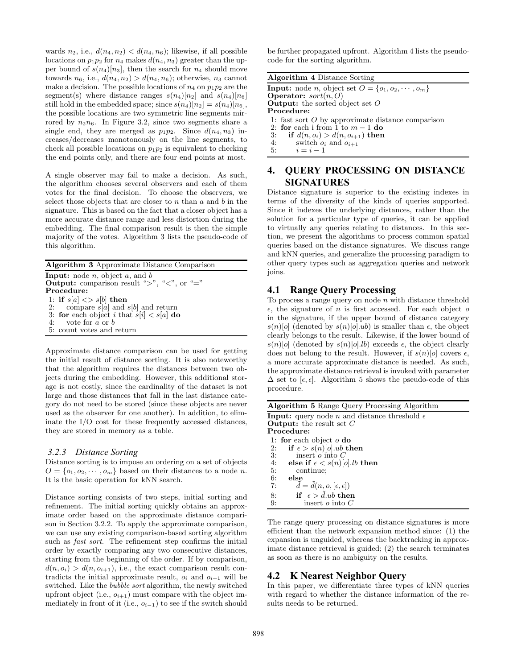wards  $n_2$ , i.e.,  $d(n_4, n_2) < d(n_4, n_6)$ ; likewise, if all possible locations on  $p_1p_2$  for  $n_4$  makes  $d(n_4, n_3)$  greater than the upper bound of  $s(n_4)|n_3|$ , then the search for  $n_4$  should move towards  $n_6$ , i.e.,  $d(n_4, n_2) > d(n_4, n_6)$ ; otherwise,  $n_3$  cannot make a decision. The possible locations of  $n_4$  on  $p_1p_2$  are the segment(s) where distance ranges  $s(n_4)[n_2]$  and  $s(n_4)[n_6]$ still hold in the embedded space; since  $s(n_4)[n_2] = s(n_4)[n_6]$ , the possible locations are two symmetric line segments mirrored by  $n_2n_6$ . In Figure 3.2, since two segments share a single end, they are merged as  $p_1p_2$ . Since  $d(n_4, n_3)$  increases/decreases monotonously on the line segments, to check all possible locations on  $p_1p_2$  is equivalent to checking the end points only, and there are four end points at most.

A single observer may fail to make a decision. As such, the algorithm chooses several observers and each of them votes for the final decision. To choose the observers, we select those objects that are closer to  $n$  than  $a$  and  $b$  in the signature. This is based on the fact that a closer object has a more accurate distance range and less distortion during the embedding. The final comparison result is then the simple majority of the votes. Algorithm 3 lists the pseudo-code of this algorithm.

Algorithm 3 Approximate Distance Comparison **Input:** node  $n$ , object  $a$ , and  $b$ Output: comparison result ">", "<", or "=" Procedure: 1: if  $s[a] \ll s[b]$  then<br>2: compare s[a] and s compare  $s[a]$  and  $s[b]$  and return 3: for each object i that  $s[i] < s[a]$  do

4: vote for a or b 5: count votes and return

Approximate distance comparison can be used for getting the initial result of distance sorting. It is also noteworthy that the algorithm requires the distances between two objects during the embedding. However, this additional storage is not costly, since the cardinality of the dataset is not large and those distances that fall in the last distance category do not need to be stored (since these objects are never used as the observer for one another). In addition, to eliminate the I/O cost for these frequently accessed distances, they are stored in memory as a table.

### *3.2.3 Distance Sorting*

Distance sorting is to impose an ordering on a set of objects  $O = \{o_1, o_2, \dots, o_m\}$  based on their distances to a node n. It is the basic operation for kNN search.

Distance sorting consists of two steps, initial sorting and refinement. The initial sorting quickly obtains an approximate order based on the approximate distance comparison in Section 3.2.2. To apply the approximate comparison, we can use any existing comparison-based sorting algorithm such as *fast sort*. The refinement step confirms the initial order by exactly comparing any two consecutive distances, starting from the beginning of the order. If by comparison,  $d(n, o_i) > d(n, o_{i+1}),$  i.e., the exact comparison result contradicts the initial approximate result,  $o_i$  and  $o_{i+1}$  will be switched. Like the bubble sort algorithm, the newly switched upfront object (i.e.,  $o_{i+1}$ ) must compare with the object immediately in front of it (i.e.,  $o_{i-1}$ ) to see if the switch should be further propagated upfront. Algorithm 4 lists the pseudocode for the sorting algorithm.

Algorithm 4 Distance Sorting

**Input:** node *n*, object set  $O = \{o_1, o_2, \dots, o_m\}$ **Operator:**  $sort(n, O)$ Output: the sorted object set O Procedure: 1: fast sort O by approximate distance comparison<br>2: **for** each i from 1 to  $m - 1$  do 2: for each i from  $\hat{1}$  to  $m-1$  do<br>3: if  $d(n, o_i) > d(n, o_{i+1})$  then 3: if  $d(n, o_i) > d(n, o_{i+1})$  then<br>4: switch  $o_i$  and  $o_{i+1}$ 4: switch  $o_i$  and  $o_{i+1}$ <br>5:  $i = i - 1$  $i = i - 1$ 

# **4. QUERY PROCESSING ON DISTANCE SIGNATURES**

Distance signature is superior to the existing indexes in terms of the diversity of the kinds of queries supported. Since it indexes the underlying distances, rather than the solution for a particular type of queries, it can be applied to virtually any queries relating to distances. In this section, we present the algorithms to process common spatial queries based on the distance signatures. We discuss range and kNN queries, and generalize the processing paradigm to other query types such as aggregation queries and network joins.

# **4.1 Range Query Processing**

To process a range query on node  $n$  with distance threshold  $\epsilon$ , the signature of *n* is first accessed. For each object *o* in the signature, if the upper bound of distance category  $s(n)[o]$  (denoted by  $s(n)[o].ub$ ) is smaller than  $\epsilon$ , the object clearly belongs to the result. Likewise, if the lower bound of  $s(n)[o]$  (denoted by  $s(n)[o].lb$ ) exceeds  $\epsilon$ , the object clearly does not belong to the result. However, if  $s(n)[o]$  covers  $\epsilon$ , a more accurate approximate distance is needed. As such, the approximate distance retrieval is invoked with parameter  $\Delta$  set to [ $\epsilon, \epsilon$ ]. Algorithm 5 shows the pseudo-code of this procedure.

| <b>Algorithm 5</b> Range Query Processing Algorithm                 |
|---------------------------------------------------------------------|
| <b>Input:</b> query node <i>n</i> and distance threshold $\epsilon$ |
| <b>Output:</b> the result set $C$                                   |
| Procedure:                                                          |
| 1: for each object $\sigma$ do                                      |
| if $\epsilon > s(n)[o].ub$ then<br>2:                               |
| 3:<br>insert $o$ into $C$                                           |
| 4:<br>else if $\epsilon < s(n)[o].lb$ then                          |
| 5:<br>continue:                                                     |
| 6:<br>else                                                          |
| $\tilde{d} = d(n, o, [\epsilon, \epsilon])$<br>7:                   |
| if $\epsilon > d$ <i>alub</i> then<br>8:                            |
| 9:<br>insert <i>o</i> into $C$                                      |

The range query processing on distance signatures is more efficient than the network expansion method since: (1) the expansion is unguided, whereas the backtracking in approximate distance retrieval is guided; (2) the search terminates as soon as there is no ambiguity on the results.

# **4.2 K Nearest Neighbor Query**

In this paper, we differentiate three types of kNN queries with regard to whether the distance information of the results needs to be returned.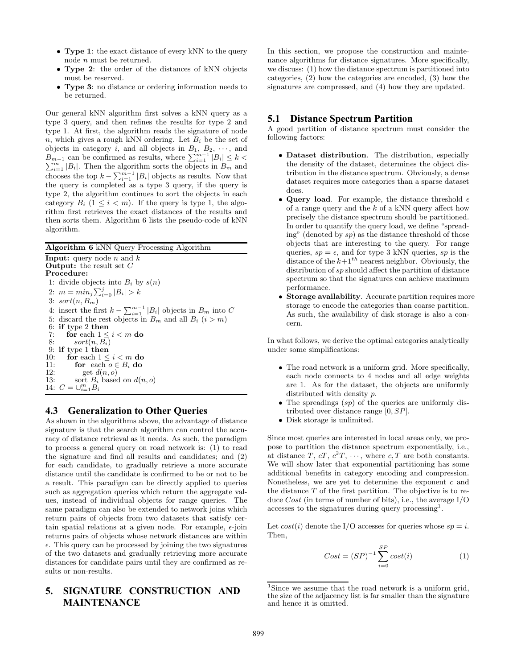- Type 1: the exact distance of every kNN to the query node *n* must be returned.
- Type 2: the order of the distances of kNN objects must be reserved.
- Type 3: no distance or ordering information needs to be returned.

Our general kNN algorithm first solves a kNN query as a type 3 query, and then refines the results for type 2 and type 1. At first, the algorithm reads the signature of node  $n$ , which gives a rough kNN ordering. Let  $B_i$  be the set of objects in category i, and all objects in  $B_1, B_2, \cdots$ , and  $B_{m-1}$  can be confirmed as results, where  $\sum_{i=1}^{m-1} |B_i| \leq k$  $\sum_{i=1}^{m} |B_i|$ . Then the algorithm sorts the objects in  $B_m$  and  $\sum_{i=1}^{m} |B_i|$ . chooses the top  $k - \sum_{i=1}^{m-1} |B_i|$  objects as results. Now that the query is completed as a type 3 query, if the query is type 2, the algorithm continues to sort the objects in each category  $B_i$   $(1 \leq i \leq m)$ . If the query is type 1, the algorithm first retrieves the exact distances of the results and then sorts them. Algorithm 6 lists the pseudo-code of kNN algorithm.

Algorithm 6 kNN Query Processing Algorithm

**Input:** query node  $n$  and  $k$ **Output:** the result set  $C$ Procedure: 1: divide objects into  $B_i$  by  $s(n)$ 2:  $m = min_j \sum_{i=0}^{j} |B_i| > k$ 3:  $sort(n, B_m)$ 4: insert the first  $k - \sum_{i=1}^{m-1} |B_i|$  objects in  $B_m$  into C 5: discard the rest objects in  $B_m$  and all  $B_i$   $(i > m)$ 6: if type 2 then<br>7: for each  $1 \le$ for each  $1 \leq i \leq m$  do 8:  $sort(n, B_i)$ 9: if type 1 then<br>10: for each  $1 \le$ for each  $1 \leq i < m$  do 11: **for** each  $o \in B_i$  **do**<br>12: **get**  $d(n, o)$ get  $d(n, o)$ 13: sort  $B_i$  based on  $d(n, o)$ 14:  $C = \bigcup_{i=1}^{m} B_i$ 

# **4.3 Generalization to Other Queries**

As shown in the algorithms above, the advantage of distance signature is that the search algorithm can control the accuracy of distance retrieval as it needs. As such, the paradigm to process a general query on road network is: (1) to read the signature and find all results and candidates; and (2) for each candidate, to gradually retrieve a more accurate distance until the candidate is confirmed to be or not to be a result. This paradigm can be directly applied to queries such as aggregation queries which return the aggregate values, instead of individual objects for range queries. The same paradigm can also be extended to network joins which return pairs of objects from two datasets that satisfy certain spatial relations at a given node. For example,  $\epsilon$ -join returns pairs of objects whose network distances are within  $\epsilon$ . This query can be processed by joining the two signatures of the two datasets and gradually retrieving more accurate distances for candidate pairs until they are confirmed as results or non-results.

# **5. SIGNATURE CONSTRUCTION AND MAINTENANCE**

In this section, we propose the construction and maintenance algorithms for distance signatures. More specifically, we discuss: (1) how the distance spectrum is partitioned into categories, (2) how the categories are encoded, (3) how the signatures are compressed, and (4) how they are updated.

### **5.1 Distance Spectrum Partition**

A good partition of distance spectrum must consider the following factors:

- Dataset distribution. The distribution, especially the density of the dataset, determines the object distribution in the distance spectrum. Obviously, a dense dataset requires more categories than a sparse dataset does.
- Query load. For example, the distance threshold  $\epsilon$ of a range query and the  $k$  of a kNN query affect how precisely the distance spectrum should be partitioned. In order to quantify the query load, we define "spreading" (denoted by  $sp$ ) as the distance threshold of those objects that are interesting to the query. For range queries,  $sp = \epsilon$ , and for type 3 kNN queries, sp is the distance of the  $k+1<sup>th</sup>$  nearest neighbor. Obviously, the distribution of sp should affect the partition of distance spectrum so that the signatures can achieve maximum performance.
- Storage availability. Accurate partition requires more storage to encode the categories than coarse partition. As such, the availability of disk storage is also a concern.

In what follows, we derive the optimal categories analytically under some simplifications:

- The road network is a uniform grid. More specifically, each node connects to 4 nodes and all edge weights are 1. As for the dataset, the objects are uniformly distributed with density p.
- The spreadings  $(sp)$  of the queries are uniformly distributed over distance range [0, SP].
- Disk storage is unlimited.

Since most queries are interested in local areas only, we propose to partition the distance spectrum exponentially, i.e., at distance T,  $cT$ ,  $c^2T$ ,  $\cdots$ , where  $c$ , T are both constants. We will show later that exponential partitioning has some additional benefits in category encoding and compression. Nonetheless, we are yet to determine the exponent  $c$  and the distance  $T$  of the first partition. The objective is to reduce Cost (in terms of number of bits), i.e., the average I/O accesses to the signatures during query processing<sup>1</sup>.

Let  $cost(i)$  denote the I/O accesses for queries whose  $sp = i$ . Then,

$$
Cost = (SP)^{-1} \sum_{i=0}^{SP} cost(i)
$$
 (1)

<sup>&</sup>lt;sup>1</sup>Since we assume that the road network is a uniform grid, the size of the adjacency list is far smaller than the signature and hence it is omitted.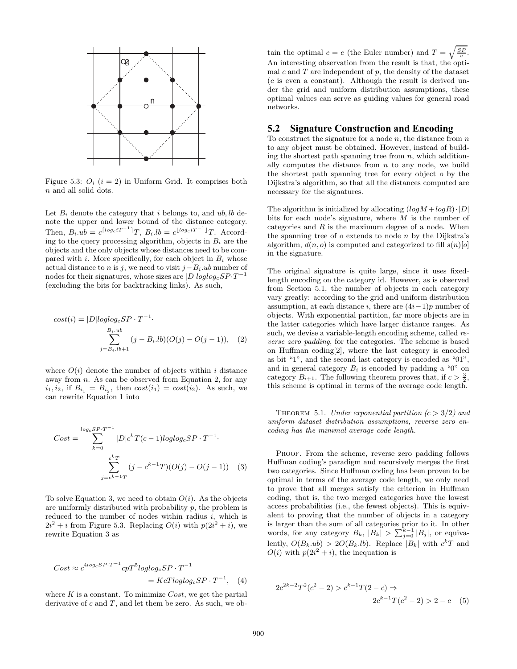

Figure 5.3:  $O_i$  ( $i = 2$ ) in Uniform Grid. It comprises both n and all solid dots.

Let  $B_i$  denote the category that i belongs to, and ub, lb denote the upper and lower bound of the distance category. Then,  $B_i.ub = c^{[log_c iT^{-1}]}T$ ,  $B_i.lb = c^{[log_c iT^{-1}]}T$ . According to the query processing algorithm, objects in  $B_i$  are the objects and the only objects whose distances need to be compared with i. More specifically, for each object in  $B_i$  whose actual distance to n is j, we need to visit  $j-B_i.ub$  number of nodes for their signatures, whose sizes are  $|D|loglog_c SP \cdot T^{-1}$ (excluding the bits for backtracking links). As such,

$$
cost(i) = |D|loglog_c SP \cdot T^{-1}.
$$
  

$$
\sum_{j=B_i, lb+1}^{B_i, ub} (j - B_i, lb)(O(j) - O(j - 1)), (2)
$$

where  $O(i)$  denote the number of objects within i distance away from  $n$ . As can be observed from Equation 2, for any  $i_1, i_2$ , if  $B_{i_1} = B_{i_2}$ , then  $cost(i_1) = cost(i_2)$ . As such, we can rewrite Equation 1 into

$$
Cost = \sum_{k=0}^{\log_c SP \cdot T^{-1}} |D| c^k T(c-1) log log_c SP \cdot T^{-1}.
$$

$$
\sum_{j=c^{k-1}T}^{c^k T} (j - c^{k-1} T)(O(j) - O(j-1)) \quad (3)
$$

To solve Equation 3, we need to obtain  $O(i)$ . As the objects are uniformly distributed with probability  $p$ , the problem is reduced to the number of nodes within radius  $i$ , which is  $2i^2 + i$  from Figure 5.3. Replacing  $O(i)$  with  $p(2i^2 + i)$ , we rewrite Equation 3 as

$$
Cost \approx c^{4log_c SP \cdot T^{-1}} cpT^5 loglog_c SP \cdot T^{-1}
$$
  
= 
$$
KcTloglog_c SP \cdot T^{-1}, \quad (4)
$$

where  $K$  is a constant. To minimize  $Cost$ , we get the partial derivative of  $c$  and  $T$ , and let them be zero. As such, we ob-

tain the optimal  $c = e$  (the Euler number) and  $T = \sqrt{\frac{SP}{e}}$ . An interesting observation from the result is that, the optimal c and  $T$  are independent of  $p$ , the density of the dataset  $(c$  is even a constant). Although the result is derived under the grid and uniform distribution assumptions, these optimal values can serve as guiding values for general road networks.

### **5.2 Signature Construction and Encoding**

To construct the signature for a node  $n$ , the distance from  $n$ to any object must be obtained. However, instead of building the shortest path spanning tree from  $n$ , which additionally computes the distance from  $n$  to any node, we build the shortest path spanning tree for every object o by the Dijkstra's algorithm, so that all the distances computed are necessary for the signatures.

The algorithm is initialized by allocating  $(log M + log R) \cdot |D|$ bits for each node's signature, where  $M$  is the number of categories and  $R$  is the maximum degree of a node. When the spanning tree of  $o$  extends to node  $n$  by the Dijkstra's algorithm,  $d(n, o)$  is computed and categorized to fill  $s(n)[o]$ in the signature.

The original signature is quite large, since it uses fixedlength encoding on the category id. However, as is observed from Section 5.1, the number of objects in each category vary greatly: according to the grid and uniform distribution assumption, at each distance i, there are  $(4i-1)p$  number of objects. With exponential partition, far more objects are in the latter categories which have larger distance ranges. As such, we devise a variable-length encoding scheme, called reverse zero padding, for the categories. The scheme is based on Huffman coding[2], where the last category is encoded as bit "1", and the second last category is encoded as "01", and in general category  $B_i$  is encoded by padding a "0" on category  $B_{i+1}$ . The following theorem proves that, if  $c > \frac{3}{2}$ , this scheme is optimal in terms of the average code length.

THEOREM 5.1. Under exponential partition  $(c > 3/2)$  and uniform dataset distribution assumptions, reverse zero encoding has the minimal average code length.

PROOF. From the scheme, reverse zero padding follows Huffman coding's paradigm and recursively merges the first two categories. Since Huffman coding has been proven to be optimal in terms of the average code length, we only need to prove that all merges satisfy the criterion in Huffman coding, that is, the two merged categories have the lowest access probabilities (i.e., the fewest objects). This is equivalent to proving that the number of objects in a category is larger than the sum of all categories prior to it. In other words, for any category  $B_k$ ,  $|B_k| > \sum_{j=0}^{k-1} |B_j|$ , or equivalently,  $O(B_k.ub) > 2O(B_k.lb)$ . Replace  $|B_k|$  with  $c^kT$  and  $O(i)$  with  $p(2i^2 + i)$ , the inequation is

$$
2c^{2k-2}T^2(c^2-2) > c^{k-1}T(2-c) \Rightarrow
$$
  

$$
2c^{k-1}T(c^2-2) > 2-c
$$
 (5)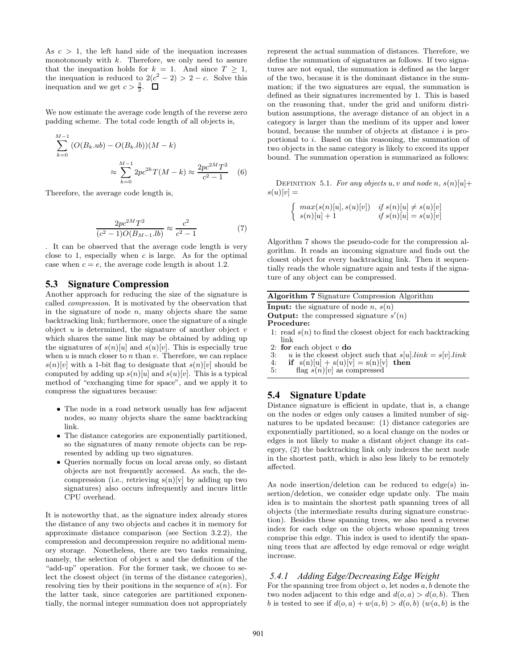As  $c > 1$ , the left hand side of the inequation increases monotonously with  $k$ . Therefore, we only need to assure that the inequation holds for  $k = 1$ . And since  $T > 1$ , the inequation is reduced to  $2(c^2 - 2) > 2 - c$ . Solve this inequation and we get  $c > \frac{3}{2}$ .

We now estimate the average code length of the reverse zero padding scheme. The total code length of all objects is,

$$
\sum_{k=0}^{M-1} (O(B_k.ub) - O(B_k.lb))(M - k)
$$
  

$$
\approx \sum_{k=0}^{M-1} 2pc^{2k} T(M - k) \approx \frac{2pc^{2M}T^2}{c^2 - 1}
$$
 (6)

Therefore, the average code length is,

$$
\frac{2pc^{2M}T^2}{(c^2-1)O(B_{M-1}.lb)} \approx \frac{c^2}{c^2-1}
$$
 (7)

. It can be observed that the average code length is very close to 1, especially when  $c$  is large. As for the optimal case when  $c = e$ , the average code length is about 1.2.

#### **5.3 Signature Compression**

Another approach for reducing the size of the signature is called compression. It is motivated by the observation that in the signature of node  $n$ , many objects share the same backtracking link; furthermore, once the signature of a single object  $u$  is determined, the signature of another object  $v$ which shares the same link may be obtained by adding up the signatures of  $s(n)[u]$  and  $s(u)[v]$ . This is especially true when  $u$  is much closer to  $n$  than  $v$ . Therefore, we can replace  $s(n)[v]$  with a 1-bit flag to designate that  $s(n)[v]$  should be computed by adding up  $s(n)[u]$  and  $s(u)[v]$ . This is a typical method of "exchanging time for space", and we apply it to compress the signatures because:

- The node in a road network usually has few adjacent nodes, so many objects share the same backtracking link.
- The distance categories are exponentially partitioned, so the signatures of many remote objects can be represented by adding up two signatures.
- Queries normally focus on local areas only, so distant objects are not frequently accessed. As such, the decompression (i.e., retrieving  $s(n)[v]$  by adding up two signatures) also occurs infrequently and incurs little CPU overhead.

It is noteworthy that, as the signature index already stores the distance of any two objects and caches it in memory for approximate distance comparison (see Section 3.2.2), the compression and decompression require no additional memory storage. Nonetheless, there are two tasks remaining, namely, the selection of object  $u$  and the definition of the "add-up" operation. For the former task, we choose to select the closest object (in terms of the distance categories), resolving ties by their positions in the sequence of  $s(n)$ . For the latter task, since categories are partitioned exponentially, the normal integer summation does not appropriately represent the actual summation of distances. Therefore, we define the summation of signatures as follows. If two signatures are not equal, the summation is defined as the larger of the two, because it is the dominant distance in the summation; if the two signatures are equal, the summation is defined as their signatures incremented by 1. This is based on the reasoning that, under the grid and uniform distribution assumptions, the average distance of an object in a category is larger than the medium of its upper and lower bound, because the number of objects at distance  $i$  is proportional to i. Based on this reasoning, the summation of two objects in the same category is likely to exceed its upper bound. The summation operation is summarized as follows:

DEFINITION 5.1. For any objects u, v and node n,  $s(n)[u]+$  $s(u)[v] =$ 

$$
\begin{cases}\n\max(s(n)[u], s(u)[v]) & \text{if } s(n)[u] \neq s(u)[v] \\
s(n)[u] + 1 & \text{if } s(n)[u] = s(u)[v]\n\end{cases}
$$

Algorithm 7 shows the pseudo-code for the compression algorithm. It reads an incoming signature and finds out the closest object for every backtracking link. Then it sequentially reads the whole signature again and tests if the signature of any object can be compressed.

| <b>Algorithm 7</b> Signature Compression Algorithm         |  |  |  |  |
|------------------------------------------------------------|--|--|--|--|
| <b>Input:</b> the signature of node n, $s(n)$              |  |  |  |  |
| $\Omega$ is the state of $\Omega$ is the state of $\Omega$ |  |  |  |  |

**Output:** the compressed signature  $s'(n)$ 

Procedure:

- 1: read  $s(n)$  to find the closest object for each backtracking link
- 2: **for** each object v **do**<br>3:  $u$  is the closest obj
- 3: u is the closest object such that  $s[u].link = s[v].link$ <br>4: if  $s(n)[u] + s(u)[v] = s(n)[v]$  then
- 4: if  $s(n)[u] + s(u)[v] = s(n)[v]$  then<br>5: flag  $s(n)[v]$  as compressed
- flag  $s(n)[v]$  as compressed

# **5.4 Signature Update**

Distance signature is efficient in update, that is, a change on the nodes or edges only causes a limited number of signatures to be updated because: (1) distance categories are exponentially partitioned, so a local change on the nodes or edges is not likely to make a distant object change its category, (2) the backtracking link only indexes the next node in the shortest path, which is also less likely to be remotely affected.

As node insertion/deletion can be reduced to edge(s) insertion/deletion, we consider edge update only. The main idea is to maintain the shortest path spanning trees of all objects (the intermediate results during signature construction). Besides these spanning trees, we also need a reverse index for each edge on the objects whose spanning trees comprise this edge. This index is used to identify the spanning trees that are affected by edge removal or edge weight increase.

### *5.4.1 Adding Edge/Decreasing Edge Weight*

For the spanning tree from object  $o$ , let nodes  $a, b$  denote the two nodes adjacent to this edge and  $d(o, a) > d(o, b)$ . Then b is tested to see if  $d(o, a) + w(a, b) > d(o, b)$   $(w(a, b)$  is the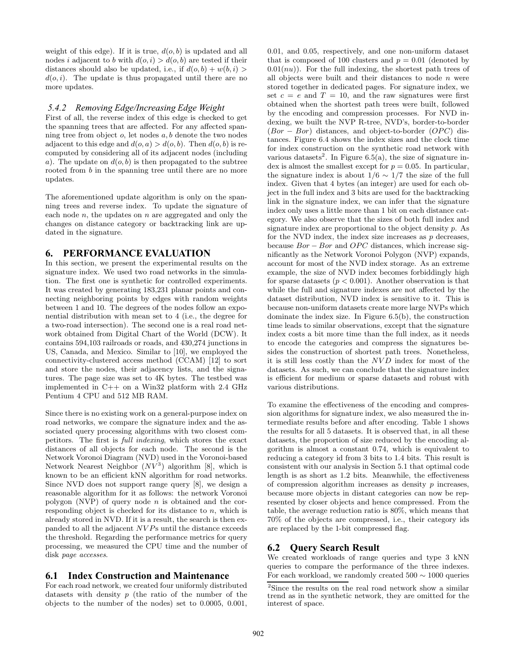weight of this edge). If it is true,  $d(o, b)$  is updated and all nodes i adjacent to b with  $d(o, i) > d(o, b)$  are tested if their distances should also be updated, i.e., if  $d(o, b) + w(b, i)$  $d(o, i)$ . The update is thus propagated until there are no more updates.

#### *5.4.2 Removing Edge/Increasing Edge Weight*

First of all, the reverse index of this edge is checked to get the spanning trees that are affected. For any affected spanning tree from object  $o$ , let nodes  $a, b$  denote the two nodes adjacent to this edge and  $d(o, a) > d(o, b)$ . Then  $d(o, b)$  is recomputed by considering all of its adjacent nodes (including a). The update on  $d(o, b)$  is then propagated to the subtree rooted from b in the spanning tree until there are no more updates.

The aforementioned update algorithm is only on the spanning trees and reverse index. To update the signature of each node  $n$ , the updates on  $n$  are aggregated and only the changes on distance category or backtracking link are updated in the signature.

### **6. PERFORMANCE EVALUATION**

In this section, we present the experimental results on the signature index. We used two road networks in the simulation. The first one is synthetic for controlled experiments. It was created by generating 183,231 planar points and connecting neighboring points by edges with random weights between 1 and 10. The degrees of the nodes follow an exponential distribution with mean set to 4 (i.e., the degree for a two-road intersection). The second one is a real road network obtained from Digital Chart of the World (DCW). It contains 594,103 railroads or roads, and 430,274 junctions in US, Canada, and Mexico. Similar to [10], we employed the connectivity-clustered access method (CCAM) [12] to sort and store the nodes, their adjacency lists, and the signatures. The page size was set to 4K bytes. The testbed was implemented in  $C++$  on a Win32 platform with 2.4 GHz Pentium 4 CPU and 512 MB RAM.

Since there is no existing work on a general-purpose index on road networks, we compare the signature index and the associated query processing algorithms with two closest competitors. The first is full indexing, which stores the exact distances of all objects for each node. The second is the Network Voronoi Diagram (NVD) used in the Voronoi-based Network Nearest Neighbor  $(NV^3)$  algorithm [8], which is known to be an efficient kNN algorithm for road networks. Since NVD does not support range query [8], we design a reasonable algorithm for it as follows: the network Voronoi polygon (NVP) of query node  $n$  is obtained and the corresponding object is checked for its distance to  $n$ , which is already stored in NVD. If it is a result, the search is then expanded to all the adjacent NV Ps until the distance exceeds the threshold. Regarding the performance metrics for query processing, we measured the CPU time and the number of disk page accesses.

#### **6.1 Index Construction and Maintenance**

For each road network, we created four uniformly distributed datasets with density  $p$  (the ratio of the number of the objects to the number of the nodes) set to 0.0005, 0.001,

0.01, and 0.05, respectively, and one non-uniform dataset that is composed of 100 clusters and  $p = 0.01$  (denoted by  $(0.01(nu))$ . For the full indexing, the shortest path trees of all objects were built and their distances to node  $n$  were stored together in dedicated pages. For signature index, we set  $c = e$  and  $T = 10$ , and the raw signatures were first obtained when the shortest path trees were built, followed by the encoding and compression processes. For NVD indexing, we built the NVP R-tree, NVD's, border-to-border  $(Bor - Bor)$  distances, and object-to-border  $(OPC)$  distances. Figure 6.4 shows the index sizes and the clock time for index construction on the synthetic road network with various datasets<sup>2</sup>. In Figure 6.5(a), the size of signature index is almost the smallest except for  $p = 0.05$ . In particular, the signature index is about  $1/6 \sim 1/7$  the size of the full index. Given that 4 bytes (an integer) are used for each object in the full index and 3 bits are used for the backtracking link in the signature index, we can infer that the signature index only uses a little more than 1 bit on each distance category. We also observe that the sizes of both full index and signature index are proportional to the object density p. As for the NVD index, the index size increases as  $p$  decreases, because  $Bor - Bor$  and  $OPC$  distances, which increase significantly as the Network Voronoi Polygon (NVP) expands, account for most of the NVD index storage. As an extreme example, the size of NVD index becomes forbiddingly high for sparse datasets ( $p < 0.001$ ). Another observation is that while the full and signature indexes are not affected by the dataset distribution, NVD index is sensitive to it. This is because non-uniform datasets create more large NVPs which dominate the index size. In Figure 6.5(b), the construction time leads to similar observations, except that the signature index costs a bit more time than the full index, as it needs to encode the categories and compress the signatures besides the construction of shortest path trees. Nonetheless, it is still less costly than the NVD index for most of the datasets. As such, we can conclude that the signature index is efficient for medium or sparse datasets and robust with various distributions.

To examine the effectiveness of the encoding and compression algorithms for signature index, we also measured the intermediate results before and after encoding. Table 1 shows the results for all 5 datasets. It is observed that, in all these datasets, the proportion of size reduced by the encoding algorithm is almost a constant 0.74, which is equivalent to reducing a category id from 3 bits to 1.4 bits. This result is consistent with our analysis in Section 5.1 that optimal code length is as short as 1.2 bits. Meanwhile, the effectiveness of compression algorithm increases as density  $p$  increases, because more objects in distant categories can now be represented by closer objects and hence compressed. From the table, the average reduction ratio is 80%, which means that 70% of the objects are compressed, i.e., their category ids are replaced by the 1-bit compressed flag.

### **6.2 Query Search Result**

We created workloads of range queries and type 3 kNN queries to compare the performance of the three indexes. For each workload, we randomly created  $500 \sim 1000$  queries

<sup>2</sup> Since the results on the real road network show a similar trend as in the synthetic network, they are omitted for the interest of space.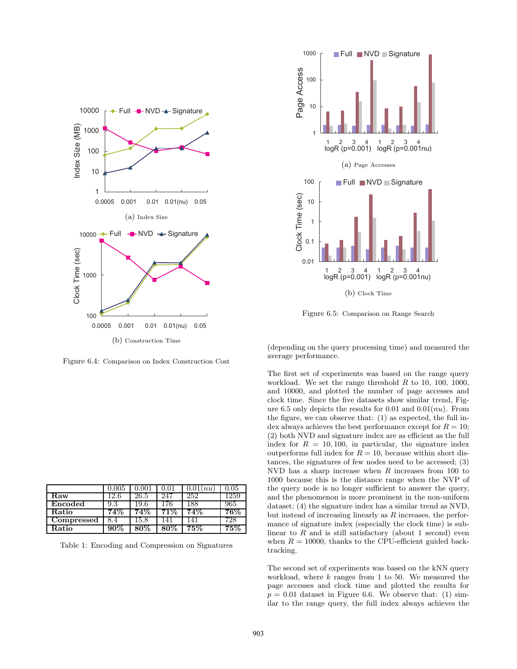

Figure 6.4: Comparison on Index Construction Cost

|            | 0.005 | $\rm 0.001$ | 0.01 | $0.01$ $\left( nu\right)$ | 0.05   |
|------------|-------|-------------|------|---------------------------|--------|
| Raw        | 12.6  | 26.5        | 247  | 252                       | 1259   |
| Encoded    | 9.3   | 19.6        | 176  | 188                       | 965    |
| Ratio      | 74%   | 74%         | 71%  | 74%                       | $76\%$ |
| Compressed | 8.4   | 15.8        | 41   | 141                       | 728.   |
| Ratio      | 90%   | 80%         |      | $75\%$                    | 75%    |

Table 1: Encoding and Compression on Signatures



Figure 6.5: Comparison on Range Search

(depending on the query processing time) and measured the average performance.

The first set of experiments was based on the range query workload. We set the range threshold  $R$  to 10, 100, 1000, and 10000, and plotted the number of page accesses and clock time. Since the five datasets show similar trend, Figure 6.5 only depicts the results for 0.01 and 0.01 $(nu)$ . From the figure, we can observe that: (1) as expected, the full index always achieves the best performance except for  $R = 10$ ; (2) both NVD and signature index are as efficient as the full index for  $R = 10, 100$ , in particular, the signature index outperforms full index for  $R = 10$ , because within short distances, the signatures of few nodes need to be accessed; (3) NVD has a sharp increase when  $R$  increases from 100 to 1000 because this is the distance range when the NVP of the query node is no longer sufficient to answer the query, and the phenomenon is more prominent in the non-uniform dataset; (4) the signature index has a similar trend as NVD, but instead of increasing linearly as R increases, the performance of signature index (especially the clock time) is sublinear to  $R$  and is still satisfactory (about 1 second) even when  $R = 10000$ , thanks to the CPU-efficient guided backtracking.

The second set of experiments was based on the kNN query workload, where  $k$  ranges from 1 to 50. We measured the page accesses and clock time and plotted the results for  $p = 0.01$  dataset in Figure 6.6. We observe that: (1) similar to the range query, the full index always achieves the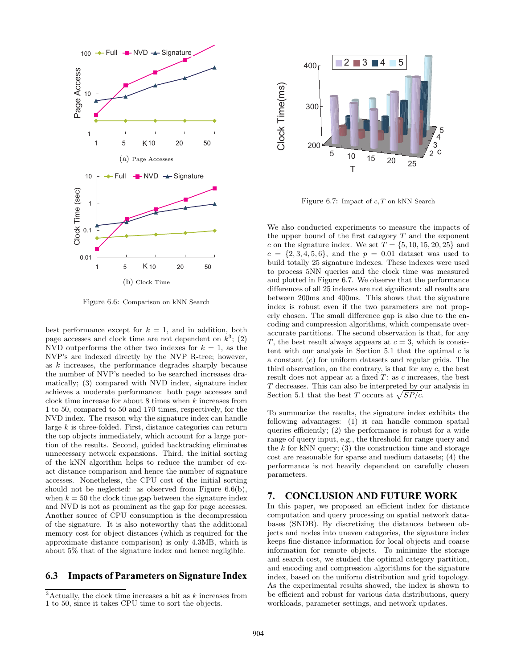

Figure 6.6: Comparison on kNN Search

best performance except for  $k = 1$ , and in addition, both page accesses and clock time are not dependent on  $k^3$ ; (2) NVD outperforms the other two indexes for  $k = 1$ , as the NVP's are indexed directly by the NVP R-tree; however, as k increases, the performance degrades sharply because the number of NVP's needed to be searched increases dramatically; (3) compared with NVD index, signature index achieves a moderate performance: both page accesses and clock time increase for about 8 times when k increases from 1 to 50, compared to 50 and 170 times, respectively, for the NVD index. The reason why the signature index can handle large  $k$  is three-folded. First, distance categories can return the top objects immediately, which account for a large portion of the results. Second, guided backtracking eliminates unnecessary network expansions. Third, the initial sorting of the kNN algorithm helps to reduce the number of exact distance comparison and hence the number of signature accesses. Nonetheless, the CPU cost of the initial sorting should not be neglected: as observed from Figure 6.6(b), when  $k = 50$  the clock time gap between the signature index and NVD is not as prominent as the gap for page accesses. Another source of CPU consumption is the decompression of the signature. It is also noteworthy that the additional memory cost for object distances (which is required for the approximate distance comparison) is only 4.3MB, which is about 5% that of the signature index and hence negligible.

# **6.3 Impacts of Parameters on Signature Index**



Figure 6.7: Impact of  $c, T$  on kNN Search

We also conducted experiments to measure the impacts of the upper bound of the first category  $T$  and the exponent c on the signature index. We set  $T = \{5, 10, 15, 20, 25\}$  and  $c = \{2, 3, 4, 5, 6\}$ , and the  $p = 0.01$  dataset was used to build totally 25 signature indexes. These indexes were used to process 5NN queries and the clock time was measured and plotted in Figure 6.7. We observe that the performance differences of all 25 indexes are not significant: all results are between 200ms and 400ms. This shows that the signature index is robust even if the two parameters are not properly chosen. The small difference gap is also due to the encoding and compression algorithms, which compensate overaccurate partitions. The second observation is that, for any T, the best result always appears at  $c = 3$ , which is consistent with our analysis in Section 5.1 that the optimal  $c$  is a constant (e) for uniform datasets and regular grids. The third observation, on the contrary, is that for any  $c$ , the best result does not appear at a fixed  $T$ : as  $c$  increases, the best  ${\cal T}$  decreases. This can also be interpreted by our analysis in Section 5.1 that the best T occurs at  $\sqrt{SP/c}$ .

To summarize the results, the signature index exhibits the following advantages: (1) it can handle common spatial queries efficiently; (2) the performance is robust for a wide range of query input, e.g., the threshold for range query and the k for kNN query; (3) the construction time and storage cost are reasonable for sparse and medium datasets; (4) the performance is not heavily dependent on carefully chosen parameters.

### **7. CONCLUSION AND FUTURE WORK**

In this paper, we proposed an efficient index for distance computation and query processing on spatial network databases (SNDB). By discretizing the distances between objects and nodes into uneven categories, the signature index keeps fine distance information for local objects and coarse information for remote objects. To minimize the storage and search cost, we studied the optimal category partition, and encoding and compression algorithms for the signature index, based on the uniform distribution and grid topology. As the experimental results showed, the index is shown to be efficient and robust for various data distributions, query workloads, parameter settings, and network updates.

 $3$ Actually, the clock time increases a bit as k increases from 1 to 50, since it takes CPU time to sort the objects.